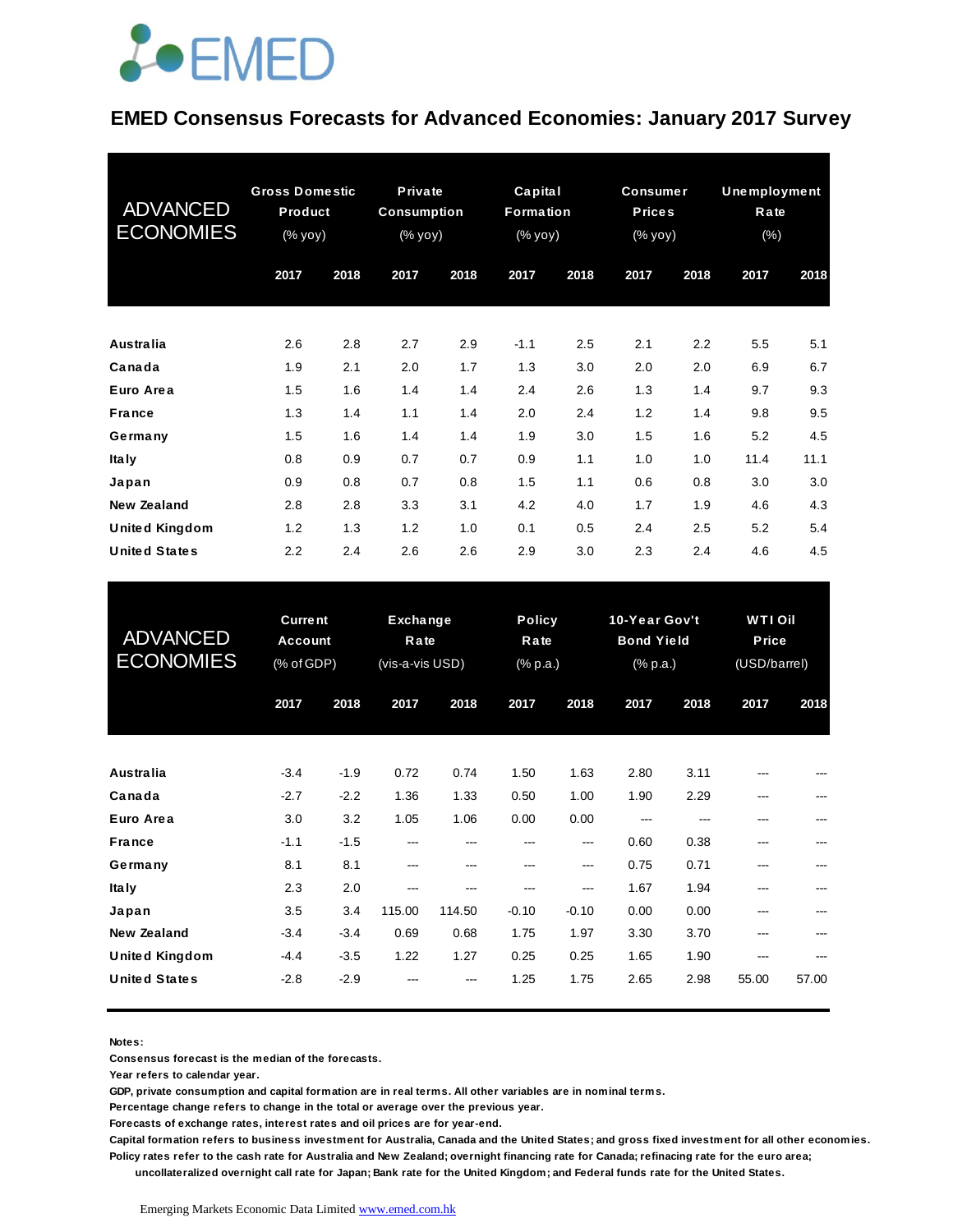#### **EMED Consensus Forecasts for Advanced Economies: January 2017 Survey**

| <b>ADVANCED</b><br><b>ECONOMIES</b> | <b>Gross Domestic</b><br>Product<br>(% yoy) |      |      |      | Private<br><b>Consumption</b><br>(% yoy) |      | Capital<br><b>Formation</b><br>(% yoy) |      | <b>Consumer</b><br><b>Prices</b><br>(% yoy) |      | <b>Unemployment</b><br>Rate<br>$(\%)$ |  |
|-------------------------------------|---------------------------------------------|------|------|------|------------------------------------------|------|----------------------------------------|------|---------------------------------------------|------|---------------------------------------|--|
|                                     | 2017                                        | 2018 | 2017 | 2018 | 2017                                     | 2018 | 2017                                   | 2018 | 2017                                        | 2018 |                                       |  |
| <b>Australia</b>                    | 2.6                                         | 2.8  | 2.7  | 2.9  | $-1.1$                                   | 2.5  | 2.1                                    | 2.2  | 5.5                                         | 5.1  |                                       |  |
| Canada                              | 1.9                                         | 2.1  | 2.0  | 1.7  | 1.3                                      | 3.0  | 2.0                                    | 2.0  | 6.9                                         | 6.7  |                                       |  |
| Euro Area                           | 1.5                                         | 1.6  | 1.4  | 1.4  | 2.4                                      | 2.6  | 1.3                                    | 1.4  | 9.7                                         | 9.3  |                                       |  |
| <b>France</b>                       | 1.3                                         | 1.4  | 1.1  | 1.4  | 2.0                                      | 2.4  | 1.2                                    | 1.4  | 9.8                                         | 9.5  |                                       |  |
| Germany                             | 1.5                                         | 1.6  | 1.4  | 1.4  | 1.9                                      | 3.0  | 1.5                                    | 1.6  | 5.2                                         | 4.5  |                                       |  |
| Ita Iy                              | 0.8                                         | 0.9  | 0.7  | 0.7  | 0.9                                      | 1.1  | 1.0                                    | 1.0  | 11.4                                        | 11.1 |                                       |  |
| Japan                               | 0.9                                         | 0.8  | 0.7  | 0.8  | 1.5                                      | 1.1  | 0.6                                    | 0.8  | 3.0                                         | 3.0  |                                       |  |
| <b>New Zealand</b>                  | 2.8                                         | 2.8  | 3.3  | 3.1  | 4.2                                      | 4.0  | 1.7                                    | 1.9  | 4.6                                         | 4.3  |                                       |  |
| United Kingdom                      | 1.2                                         | 1.3  | 1.2  | 1.0  | 0.1                                      | 0.5  | 2.4                                    | 2.5  | 5.2                                         | 5.4  |                                       |  |
| <b>United States</b>                | $2.2\,$                                     | 2.4  | 2.6  | 2.6  | 2.9                                      | 3.0  | 2.3                                    | 2.4  | 4.6                                         | 4.5  |                                       |  |

| <b>United States</b>                          | 2.2                                            | 2.4              | 2.6                                 | 2.6            | 2.9             | 3.0                               | 2.3           | 2.4                                                               | 4.6        | 4.5                                     |  |
|-----------------------------------------------|------------------------------------------------|------------------|-------------------------------------|----------------|-----------------|-----------------------------------|---------------|-------------------------------------------------------------------|------------|-----------------------------------------|--|
| <b>ADVANCED</b><br><b>ECONOMIES</b>           | <b>Current</b><br><b>Account</b><br>(% of GDP) |                  | Exchange<br>Rate<br>(vis-a-vis USD) |                |                 | <b>Policy</b><br>Rate<br>(% p.a.) |               | 10-Year Gov't<br><b>Bond Yield</b><br>$(% \mathbb{R}^2)$ (% p.a.) |            | <b>WTI Oil</b><br>Price<br>(USD/barrel) |  |
|                                               | 2017                                           | 2018             | 2017                                | 2018           | 2017            | 2018                              | 2017          | 2018                                                              | 2017       | 2018                                    |  |
| <b>Australia</b>                              | $-3.4$                                         | $-1.9$           | 0.72                                | 0.74           | 1.50            | 1.63                              | 2.80          | 3.11                                                              |            |                                         |  |
| Canada<br>Euro Area                           | $-2.7$<br>3.0                                  | $-2.2$<br>3.2    | 1.36<br>1.05                        | 1.33<br>1.06   | 0.50<br>0.00    | 1.00<br>0.00                      | 1.90<br>$---$ | 2.29<br>---                                                       | ---        |                                         |  |
| <b>France</b><br>Germany                      | $-1.1$<br>8.1                                  | $-1.5$<br>8.1    | ---<br>---                          | ---<br>$---$   | ---<br>---      | ---<br>---                        | 0.60<br>0.75  | 0.38<br>0.71                                                      | ---<br>--- |                                         |  |
| <b>Italy</b>                                  | 2.3                                            | 2.0              | ---                                 |                | ---             | ---                               | 1.67          | 1.94                                                              |            |                                         |  |
| Japan<br><b>New Zealand</b>                   | 3.5<br>$-3.4$                                  | 3.4<br>$-3.4$    | 115.00<br>0.69                      | 114.50<br>0.68 | $-0.10$<br>1.75 | $-0.10$<br>1.97                   | 0.00<br>3.30  | 0.00<br>3.70                                                      | ---<br>--- |                                         |  |
| <b>United Kingdom</b><br><b>United States</b> | $-4.4$<br>$-2.8$                               | $-3.5$<br>$-2.9$ | 1.22                                | 1.27           | 0.25<br>1.25    | 0.25<br>1.75                      | 1.65<br>2.65  | 1.90<br>2.98                                                      | 55.00      | 57.00                                   |  |
|                                               |                                                |                  |                                     |                |                 |                                   |               |                                                                   |            |                                         |  |

**Notes:** 

**Consensus forecast is the median of the forecasts.**

**Year refers to calendar year.**

**GDP, private consumption and capital formation are in real terms. All other variables are in nominal terms.**

**Percentage change refers to change in the total or average over the previous year.**

**Forecasts of exchange rates, interest rates and oil prices are for year-end.**

**Capital formation refers to business investment for Australia, Canada and the United States; and gross fixed investment for all other economies. Policy rates refer to the cash rate for Australia and New Zealand; overnight financing rate for Canada; refinacing rate for the euro area;** 

 **uncollateralized overnight call rate for Japan; Bank rate for the United Kingdom; and Federal funds rate for the United States.**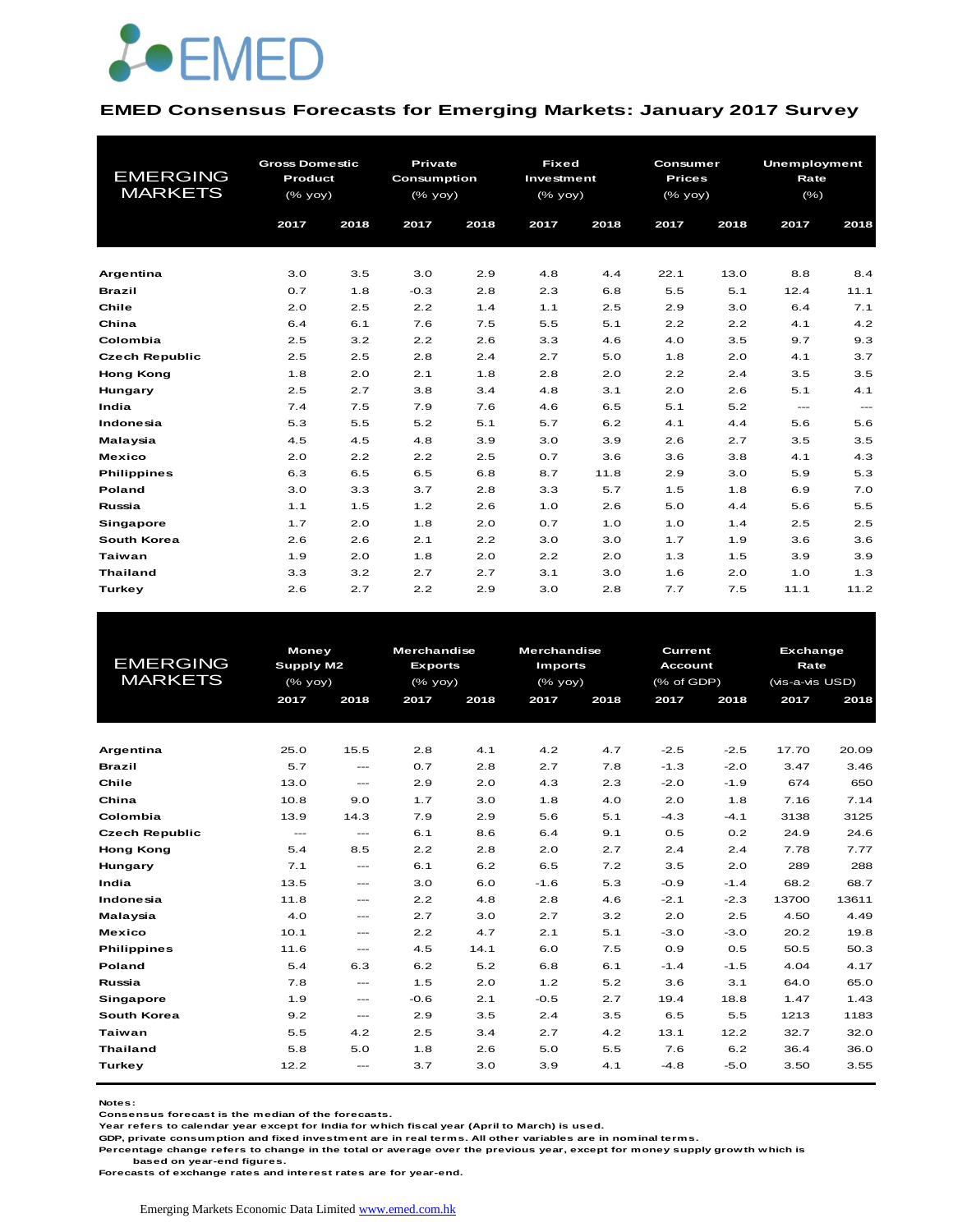

#### **EMED Consensus Forecasts for Emerging Markets: January 2017 Survey**

| <b>EMERGING</b><br><b>MARKETS</b> | <b>Gross Domestic</b><br><b>Product</b><br>(% yoy)<br>2017 | 2018 | <b>Private</b><br><b>Consumption</b><br>$(%$ (% yoy)<br>2017 | 2018 | <b>Fixed</b><br>Investment<br>(% yoy)<br>2017 | 2018 | Consumer<br><b>Prices</b><br>(% yoy)<br>2017 | 2018 | Unemployment<br>Rate<br>(% )<br>2017 | 2018                                     |
|-----------------------------------|------------------------------------------------------------|------|--------------------------------------------------------------|------|-----------------------------------------------|------|----------------------------------------------|------|--------------------------------------|------------------------------------------|
| Argentina                         | 3.0                                                        | 3.5  | 3.0                                                          | 2.9  | 4.8                                           | 4.4  | 22.1                                         | 13.0 | 8.8                                  | 8.4                                      |
| <b>Brazil</b>                     | 0.7                                                        | 1.8  | $-0.3$                                                       | 2.8  | 2.3                                           | 6.8  | 5.5                                          | 5.1  | 12.4                                 | 11.1                                     |
| Chile                             | 2.0                                                        | 2.5  | 2.2                                                          | 1.4  | 1.1                                           | 2.5  | 2.9                                          | 3.0  | 6.4                                  | 7.1                                      |
| China                             | 6.4                                                        | 6.1  | 7.6                                                          | 7.5  | 5.5                                           | 5.1  | 2.2                                          | 2.2  | 4.1                                  | 4.2                                      |
| Colombia                          | 2.5                                                        | 3.2  | 2.2                                                          | 2.6  | 3.3                                           | 4.6  | 4.0                                          | 3.5  | 9.7                                  | 9.3                                      |
| <b>Czech Republic</b>             | 2.5                                                        | 2.5  | 2.8                                                          | 2.4  | 2.7                                           | 5.0  | 1.8                                          | 2.0  | 4.1                                  | 3.7                                      |
| <b>Hong Kong</b>                  | 1.8                                                        | 2.0  | 2.1                                                          | 1.8  | 2.8                                           | 2.0  | 2.2                                          | 2.4  | 3.5                                  | 3.5                                      |
| Hungary                           | 2.5                                                        | 2.7  | 3.8                                                          | 3.4  | 4.8                                           | 3.1  | 2.0                                          | 2.6  | 5.1                                  | 4.1                                      |
| India                             | 7.4                                                        | 7.5  | 7.9                                                          | 7.6  | 4.6                                           | 6.5  | 5.1                                          | 5.2  | $\frac{1}{2}$                        | $\hspace{0.05cm} \ldots \hspace{0.05cm}$ |
| Indonesia                         | 5.3                                                        | 5.5  | 5.2                                                          | 5.1  | 5.7                                           | 6.2  | 4.1                                          | 4.4  | 5.6                                  | 5.6                                      |
| Malaysia                          | 4.5                                                        | 4.5  | 4.8                                                          | 3.9  | 3.0                                           | 3.9  | 2.6                                          | 2.7  | 3.5                                  | 3.5                                      |
| <b>Mexico</b>                     | 2.0                                                        | 2.2  | 2.2                                                          | 2.5  | 0.7                                           | 3.6  | 3.6                                          | 3.8  | 4.1                                  | 4.3                                      |
| <b>Philippines</b>                | 6.3                                                        | 6.5  | 6.5                                                          | 6.8  | 8.7                                           | 11.8 | 2.9                                          | 3.0  | 5.9                                  | 5.3                                      |
| Poland                            | 3.0                                                        | 3.3  | 3.7                                                          | 2.8  | 3.3                                           | 5.7  | 1.5                                          | 1.8  | 6.9                                  | 7.0                                      |
| Russia                            | 1.1                                                        | 1.5  | 1.2                                                          | 2.6  | 1.0                                           | 2.6  | 5.0                                          | 4.4  | 5.6                                  | 5.5                                      |
| <b>Singapore</b>                  | 1.7                                                        | 2.0  | 1.8                                                          | 2.0  | 0.7                                           | 1.0  | 1.0                                          | 1.4  | 2.5                                  | 2.5                                      |
| South Korea                       | 2.6                                                        | 2.6  | 2.1                                                          | 2.2  | 3.0                                           | 3.0  | 1.7                                          | 1.9  | 3.6                                  | 3.6                                      |
| Taiwan                            | 1.9                                                        | 2.0  | 1.8                                                          | 2.0  | 2.2                                           | 2.0  | 1.3                                          | 1.5  | 3.9                                  | 3.9                                      |
| <b>Thailand</b>                   | 3.3                                                        | 3.2  | 2.7                                                          | 2.7  | 3.1                                           | 3.0  | 1.6                                          | 2.0  | 1.0                                  | 1.3                                      |
| Turkey                            | 2.6                                                        | 2.7  | 2.2                                                          | 2.9  | 3.0                                           | 2.8  | 7.7                                          | 7.5  | 11.1                                 | 11.2                                     |

|                       | <b>Money</b> |                   | <b>Merchandise</b> |      |         | <b>Merchandise</b><br><b>Current</b> |                                 |                | <b>Exchange</b> |       |
|-----------------------|--------------|-------------------|--------------------|------|---------|--------------------------------------|---------------------------------|----------------|-----------------|-------|
| <b>EMERGING</b>       | Supply M2    |                   | <b>Exports</b>     |      |         | <b>Imports</b>                       |                                 | <b>Account</b> | Rate            |       |
| <b>MARKETS</b>        | $(%$ yoy)    |                   | (% yoy)            |      | (% yoy) |                                      | $(% \mathcal{L}_{0}$ (% of GDP) |                | (vis-a-vis USD) |       |
|                       | 2017         | 2018              | 2017               | 2018 | 2017    | 2018                                 | 2017                            | 2018           | 2017            | 2018  |
|                       |              |                   |                    |      |         |                                      |                                 |                |                 |       |
| Argentina             | 25.0         | 15.5              | 2.8                | 4.1  | 4.2     | 4.7                                  | $-2.5$                          | $-2.5$         | 17.70           | 20.09 |
| <b>Brazil</b>         | 5.7          | $\frac{1}{2}$     | 0.7                | 2.8  | 2.7     | 7.8                                  | $-1.3$                          | $-2.0$         | 3.47            | 3.46  |
| Chile                 | 13.0         | $\frac{1}{2}$     | 2.9                | 2.0  | 4.3     | 2.3                                  | $-2.0$                          | $-1.9$         | 674             | 650   |
| China                 | 10.8         | 9.0               | 1.7                | 3.0  | 1.8     | 4.0                                  | 2.0                             | 1.8            | 7.16            | 7.14  |
| Colombia              | 13.9         | 14.3              | 7.9                | 2.9  | 5.6     | 5.1                                  | $-4.3$                          | $-4.1$         | 3138            | 3125  |
| <b>Czech Republic</b> | $---$        | $\frac{1}{2}$     | 6.1                | 8.6  | 6.4     | 9.1                                  | 0.5                             | 0.2            | 24.9            | 24.6  |
| <b>Hong Kong</b>      | 5.4          | 8.5               | 2.2                | 2.8  | 2.0     | 2.7                                  | 2.4                             | 2.4            | 7.78            | 7.77  |
| Hungary               | 7.1          | $\frac{1}{2}$     | 6.1                | 6.2  | 6.5     | 7.2                                  | 3.5                             | 2.0            | 289             | 288   |
| India                 | 13.5         | $\cdots$          | 3.0                | 6.0  | $-1.6$  | 5.3                                  | $-0.9$                          | $-1.4$         | 68.2            | 68.7  |
| Indonesia             | 11.8         | $\frac{1}{2}$     | 2.2                | 4.8  | 2.8     | 4.6                                  | $-2.1$                          | $-2.3$         | 13700           | 13611 |
| Malaysia              | 4.0          | $\cdots$          | 2.7                | 3.0  | 2.7     | 3.2                                  | 2.0                             | 2.5            | 4.50            | 4.49  |
| <b>Mexico</b>         | 10.1         | $\cdots$          | 2.2                | 4.7  | 2.1     | 5.1                                  | $-3.0$                          | $-3.0$         | 20.2            | 19.8  |
| <b>Philippines</b>    | 11.6         | $\cdots$          | 4.5                | 14.1 | 6.0     | 7.5                                  | 0.9                             | 0.5            | 50.5            | 50.3  |
| Poland                | 5.4          | 6.3               | 6.2                | 5.2  | 6.8     | 6.1                                  | $-1.4$                          | $-1.5$         | 4.04            | 4.17  |
| Russia                | 7.8          | $\frac{1}{2}$     | 1.5                | 2.0  | 1.2     | 5.2                                  | 3.6                             | 3.1            | 64.0            | 65.0  |
| Singapore             | 1.9          | $\qquad \qquad -$ | $-0.6$             | 2.1  | $-0.5$  | 2.7                                  | 19.4                            | 18.8           | 1.47            | 1.43  |
| South Korea           | 9.2          | $\qquad \qquad -$ | 2.9                | 3.5  | 2.4     | 3.5                                  | 6.5                             | 5.5            | 1213            | 1183  |
| Taiwan                | 5.5          | 4.2               | 2.5                | 3.4  | 2.7     | 4.2                                  | 13.1                            | 12.2           | 32.7            | 32.0  |
| <b>Thailand</b>       | 5.8          | 5.0               | 1.8                | 2.6  | 5.0     | 5.5                                  | 7.6                             | 6.2            | 36.4            | 36.0  |
| <b>Turkey</b>         | 12.2         | $\qquad \qquad -$ | 3.7                | 3.0  | 3.9     | 4.1                                  | $-4.8$                          | $-5.0$         | 3.50            | 3.55  |

**Notes:** 

**Consensus forecast is the median of the forecasts.**

**Year refers to calendar year except for India for which fiscal year (April to March) is used.**

**GDP, private consumption and fixed investment are in real terms. All other variables are in nominal terms.**

**Percentage change refers to change in the total or average over the previous year, except for money supply growth which is** 

 **based on year-end figures.**

**Forecasts of exchange rates and interest rates are for year-end.**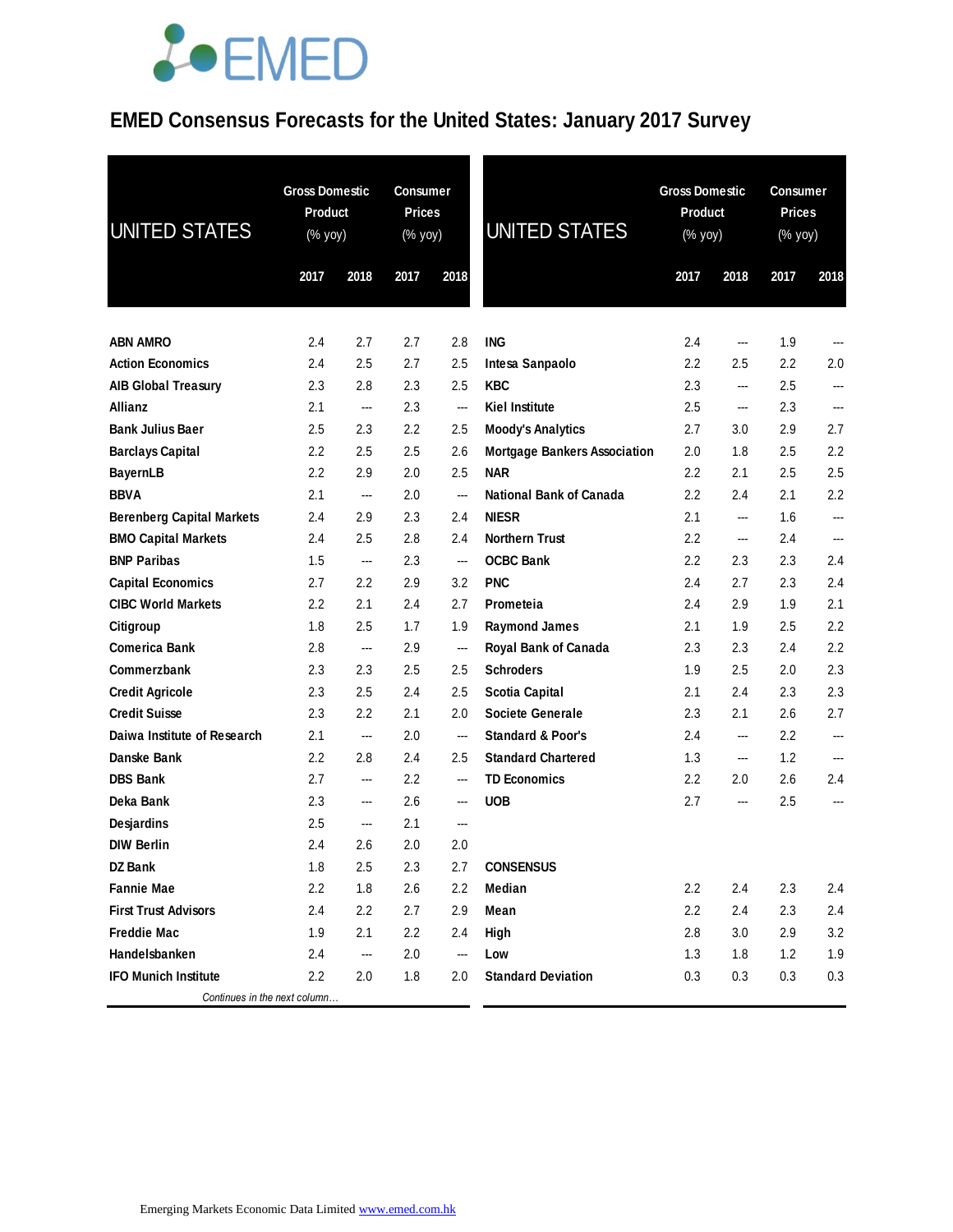### **EMED Consensus Forecasts for the United States: January 2017 Survey**

| <b>UNITED STATES</b>             | <b>Gross Domestic</b><br><b>Product</b><br>(% yoy) |      | <b>Consumer</b><br><b>Prices</b><br>(% yoy) |                          | <b>UNITED STATES</b>                |                  | <b>Gross Domestic</b><br>Product<br>(% yoy) |      | <b>Consumer</b><br><b>Prices</b><br>(% yoy) |  |
|----------------------------------|----------------------------------------------------|------|---------------------------------------------|--------------------------|-------------------------------------|------------------|---------------------------------------------|------|---------------------------------------------|--|
|                                  | 2017                                               | 2018 | 2017                                        | 2018                     |                                     | 2017             | 2018                                        | 2017 | 2018                                        |  |
|                                  |                                                    |      |                                             |                          |                                     |                  |                                             |      |                                             |  |
| <b>ABN AMRO</b>                  | $2.4\,$                                            | 2.7  | 2.7                                         | 2.8                      | <b>ING</b>                          | 2.4              |                                             | 1.9  |                                             |  |
| <b>Action Economics</b>          | 2.4                                                | 2.5  | 2.7                                         | 2.5                      | Intesa Sanpaolo                     | 2.2              | 2.5                                         | 2.2  | 2.0                                         |  |
| <b>AIB Global Treasury</b>       | 2.3                                                | 2.8  | 2.3                                         | 2.5                      | <b>KBC</b>                          | 2.3              | ---                                         | 2.5  | ---                                         |  |
| Allianz                          | 2.1                                                | ---  | 2.3                                         | $\overline{a}$           | <b>Kiel Institute</b>               | 2.5              | ---                                         | 2.3  | $\overline{a}$                              |  |
| <b>Bank Julius Baer</b>          | 2.5                                                | 2.3  | 2.2                                         | 2.5                      | <b>Moody's Analytics</b>            | 2.7              | 3.0                                         | 2.9  | 2.7                                         |  |
| <b>Barclays Capital</b>          | 2.2                                                | 2.5  | 2.5                                         | 2.6                      | <b>Mortgage Bankers Association</b> | 2.0              | 1.8                                         | 2.5  | 2.2                                         |  |
| <b>BayernLB</b>                  | 2.2                                                | 2.9  | 2.0                                         | 2.5                      | <b>NAR</b>                          | 2.2              | 2.1                                         | 2.5  | 2.5                                         |  |
| <b>BBVA</b>                      | 2.1                                                | ---  | 2.0                                         | ---                      | <b>National Bank of Canada</b>      | 2.2              | 2.4                                         | 2.1  | 2.2                                         |  |
| <b>Berenberg Capital Markets</b> | 2.4                                                | 2.9  | 2.3                                         | 2.4                      | <b>NIESR</b>                        | 2.1              | ---                                         | 1.6  | ---                                         |  |
| <b>BMO Capital Markets</b>       | 2.4                                                | 2.5  | 2.8                                         | 2.4                      | <b>Northern Trust</b>               | 2.2              | ---                                         | 2.4  | ---                                         |  |
| <b>BNP Paribas</b>               | 1.5                                                | ---  | 2.3                                         | ---                      | <b>OCBC Bank</b>                    | 2.2              | 2.3                                         | 2.3  | 2.4                                         |  |
| <b>Capital Economics</b>         | 2.7                                                | 2.2  | 2.9                                         | 3.2                      | <b>PNC</b>                          | 2.4              | 2.7                                         | 2.3  | 2.4                                         |  |
| <b>CIBC World Markets</b>        | $2.2\phantom{0}$                                   | 2.1  | 2.4                                         | 2.7                      | Prometeia                           | 2.4              | 2.9                                         | 1.9  | 2.1                                         |  |
| Citigroup                        | 1.8                                                | 2.5  | 1.7                                         | 1.9                      | <b>Raymond James</b>                | 2.1              | 1.9                                         | 2.5  | 2.2                                         |  |
| <b>Comerica Bank</b>             | 2.8                                                | ---  | 2.9                                         | ---                      | <b>Royal Bank of Canada</b>         | 2.3              | 2.3                                         | 2.4  | 2.2                                         |  |
| Commerzbank                      | 2.3                                                | 2.3  | 2.5                                         | 2.5                      | <b>Schroders</b>                    | 1.9              | 2.5                                         | 2.0  | 2.3                                         |  |
| <b>Credit Agricole</b>           | 2.3                                                | 2.5  | 2.4                                         | 2.5                      | <b>Scotia Capital</b>               | 2.1              | 2.4                                         | 2.3  | 2.3                                         |  |
| <b>Credit Suisse</b>             | 2.3                                                | 2.2  | 2.1                                         | 2.0                      | <b>Societe Generale</b>             | 2.3              | 2.1                                         | 2.6  | 2.7                                         |  |
| Daiwa Institute of Research      | 2.1                                                | ---  | 2.0                                         | ---                      | <b>Standard &amp; Poor's</b>        | 2.4              | ---                                         | 2.2  | $---$                                       |  |
| Danske Bank                      | $2.2\phantom{0}$                                   | 2.8  | 2.4                                         | 2.5                      | <b>Standard Chartered</b>           | 1.3              | ---                                         | 1.2  | ---                                         |  |
| <b>DBS Bank</b>                  | 2.7                                                | ---  | 2.2                                         | ---                      | <b>TD Economics</b>                 | $2.2\phantom{0}$ | 2.0                                         | 2.6  | 2.4                                         |  |
| Deka Bank                        | 2.3                                                | ---  | 2.6                                         | ---                      | <b>UOB</b>                          | 2.7              | ---                                         | 2.5  | ---                                         |  |
| Desjardins                       | 2.5                                                | ---  | 2.1                                         | $\overline{\phantom{a}}$ |                                     |                  |                                             |      |                                             |  |
| <b>DIW Berlin</b>                | 2.4                                                | 2.6  | 2.0                                         | 2.0                      |                                     |                  |                                             |      |                                             |  |
| <b>DZ Bank</b>                   | 1.8                                                | 2.5  | 2.3                                         | 2.7                      | <b>CONSENSUS</b>                    |                  |                                             |      |                                             |  |
| <b>Fannie Mae</b>                | 2.2                                                | 1.8  | 2.6                                         | $2.2\,$                  | Median                              | 2.2              | 2.4                                         | 2.3  | 2.4                                         |  |
| <b>First Trust Advisors</b>      | 2.4                                                | 2.2  | 2.7                                         | 2.9                      | Mean                                | 2.2              | 2.4                                         | 2.3  | 2.4                                         |  |
| <b>Freddie Mac</b>               | 1.9                                                | 2.1  | 2.2                                         | 2.4                      | High                                | 2.8              | 3.0                                         | 2.9  | 3.2                                         |  |
| Handelsbanken                    | 2.4                                                | ---  | 2.0                                         | ---                      | Low                                 | 1.3              | 1.8                                         | 1.2  | 1.9                                         |  |
| <b>IFO Munich Institute</b>      | 2.2                                                | 2.0  | 1.8                                         | 2.0                      | <b>Standard Deviation</b>           | 0.3              | 0.3                                         | 0.3  | 0.3                                         |  |
| Continues in the next column     |                                                    |      |                                             |                          |                                     |                  |                                             |      |                                             |  |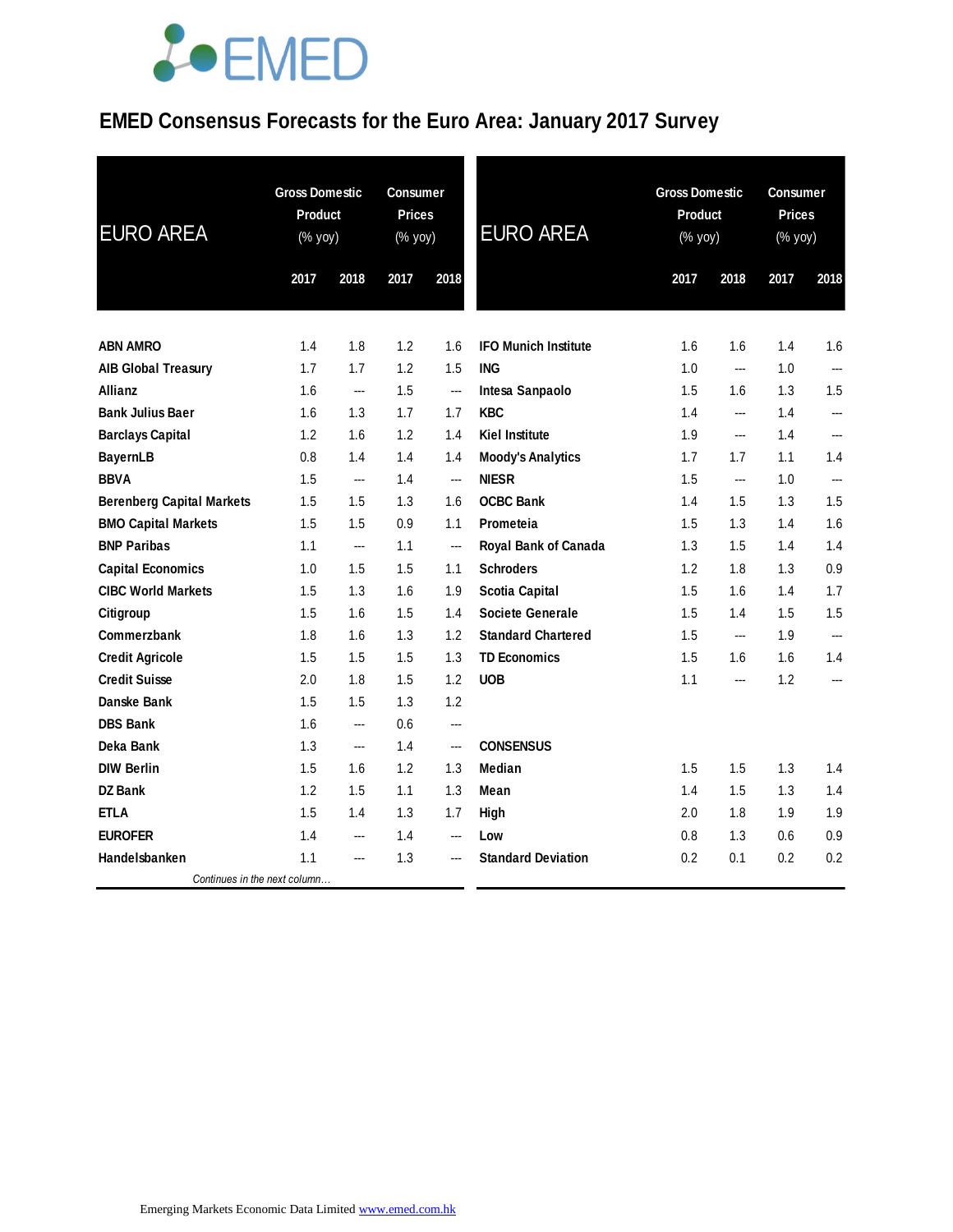### **EMED Consensus Forecasts for the Euro Area: January 2017 Survey**

| <b>EURO AREA</b>                 | <b>Gross Domestic</b><br><b>Product</b><br>(% yoy) |      | <b>Consumer</b><br><b>Prices</b><br>(% yoy) |      | <b>EURO AREA</b>            | <b>Gross Domestic</b><br><b>Product</b><br>$(% \mathsf{y}\right)$ (% yoy) |                | <b>Consumer</b><br><b>Prices</b><br>(% yoy) |                |
|----------------------------------|----------------------------------------------------|------|---------------------------------------------|------|-----------------------------|---------------------------------------------------------------------------|----------------|---------------------------------------------|----------------|
|                                  | 2017                                               | 2018 | 2017                                        | 2018 |                             | 2017                                                                      | 2018           | 2017                                        | 2018           |
| <b>ABN AMRO</b>                  | 1.4                                                | 1.8  | 1.2                                         | 1.6  | <b>IFO Munich Institute</b> | 1.6                                                                       | 1.6            | 1.4                                         | 1.6            |
| <b>AIB Global Treasury</b>       | 1.7                                                | 1.7  | 1.2                                         | 1.5  | <b>ING</b>                  | 1.0                                                                       | $\overline{a}$ | 1.0                                         | $\overline{a}$ |
| <b>Allianz</b>                   | 1.6                                                | ---  | 1.5                                         | ---  | Intesa Sanpaolo             | 1.5                                                                       | 1.6            | 1.3                                         | 1.5            |
| <b>Bank Julius Baer</b>          | 1.6                                                | 1.3  | 1.7                                         | 1.7  | <b>KBC</b>                  | 1.4                                                                       | ---            | 1.4                                         | ---            |
| <b>Barclays Capital</b>          | 1.2                                                | 1.6  | 1.2                                         | 1.4  | <b>Kiel Institute</b>       | 1.9                                                                       | ---            | 1.4                                         | ---            |
| <b>BayernLB</b>                  | 0.8                                                | 1.4  | 1.4                                         | 1.4  | <b>Moody's Analytics</b>    | 1.7                                                                       | 1.7            | 1.1                                         | 1.4            |
| <b>BBVA</b>                      | 1.5                                                | ---  | 1.4                                         | ---  | <b>NIESR</b>                | 1.5                                                                       | ---            | 1.0                                         | ---            |
| <b>Berenberg Capital Markets</b> | 1.5                                                | 1.5  | 1.3                                         | 1.6  | <b>OCBC Bank</b>            | 1.4                                                                       | 1.5            | 1.3                                         | 1.5            |
| <b>BMO Capital Markets</b>       | 1.5                                                | 1.5  | 0.9                                         | 1.1  | Prometeia                   | 1.5                                                                       | 1.3            | 1.4                                         | 1.6            |
| <b>BNP Paribas</b>               | 1.1                                                | ---  | 1.1                                         | ---  | Royal Bank of Canada        | 1.3                                                                       | 1.5            | 1.4                                         | 1.4            |
| <b>Capital Economics</b>         | 1.0                                                | 1.5  | 1.5                                         | 1.1  | <b>Schroders</b>            | 1.2                                                                       | 1.8            | 1.3                                         | 0.9            |
| <b>CIBC World Markets</b>        | 1.5                                                | 1.3  | 1.6                                         | 1.9  | <b>Scotia Capital</b>       | 1.5                                                                       | 1.6            | 1.4                                         | 1.7            |
| Citigroup                        | 1.5                                                | 1.6  | 1.5                                         | 1.4  | <b>Societe Generale</b>     | 1.5                                                                       | 1.4            | 1.5                                         | 1.5            |
| <b>Commerzbank</b>               | 1.8                                                | 1.6  | 1.3                                         | 1.2  | <b>Standard Chartered</b>   | 1.5                                                                       | $\overline{a}$ | 1.9                                         | $\overline{a}$ |
| <b>Credit Agricole</b>           | 1.5                                                | 1.5  | 1.5                                         | 1.3  | <b>TD Economics</b>         | 1.5                                                                       | 1.6            | 1.6                                         | 1.4            |
| <b>Credit Suisse</b>             | 2.0                                                | 1.8  | 1.5                                         | 1.2  | <b>UOB</b>                  | 1.1                                                                       | ---            | 1.2                                         | $\overline{a}$ |
| <b>Danske Bank</b>               | 1.5                                                | 1.5  | 1.3                                         | 1.2  |                             |                                                                           |                |                                             |                |
| <b>DBS Bank</b>                  | 1.6                                                | ---  | 0.6                                         | ---  |                             |                                                                           |                |                                             |                |
| Deka Bank                        | 1.3                                                | ---  | 1.4                                         | ---  | <b>CONSENSUS</b>            |                                                                           |                |                                             |                |
| <b>DIW Berlin</b>                | 1.5                                                | 1.6  | 1.2                                         | 1.3  | Median                      | 1.5                                                                       | 1.5            | 1.3                                         | 1.4            |
| DZ Bank                          | 1.2                                                | 1.5  | 1.1                                         | 1.3  | Mean                        | 1.4                                                                       | 1.5            | 1.3                                         | 1.4            |
| <b>ETLA</b>                      | 1.5                                                | 1.4  | 1.3                                         | 1.7  | High                        | 2.0                                                                       | 1.8            | 1.9                                         | 1.9            |
| <b>EUROFER</b>                   | 1.4                                                | ---  | 1.4                                         | ---  | Low                         | 0.8                                                                       | 1.3            | 0.6                                         | 0.9            |
| Handelsbanken                    | 1.1                                                | ---  | 1.3                                         | ---  | <b>Standard Deviation</b>   | 0.2                                                                       | 0.1            | 0.2                                         | 0.2            |
| Continues in the next column     |                                                    |      |                                             |      |                             |                                                                           |                |                                             |                |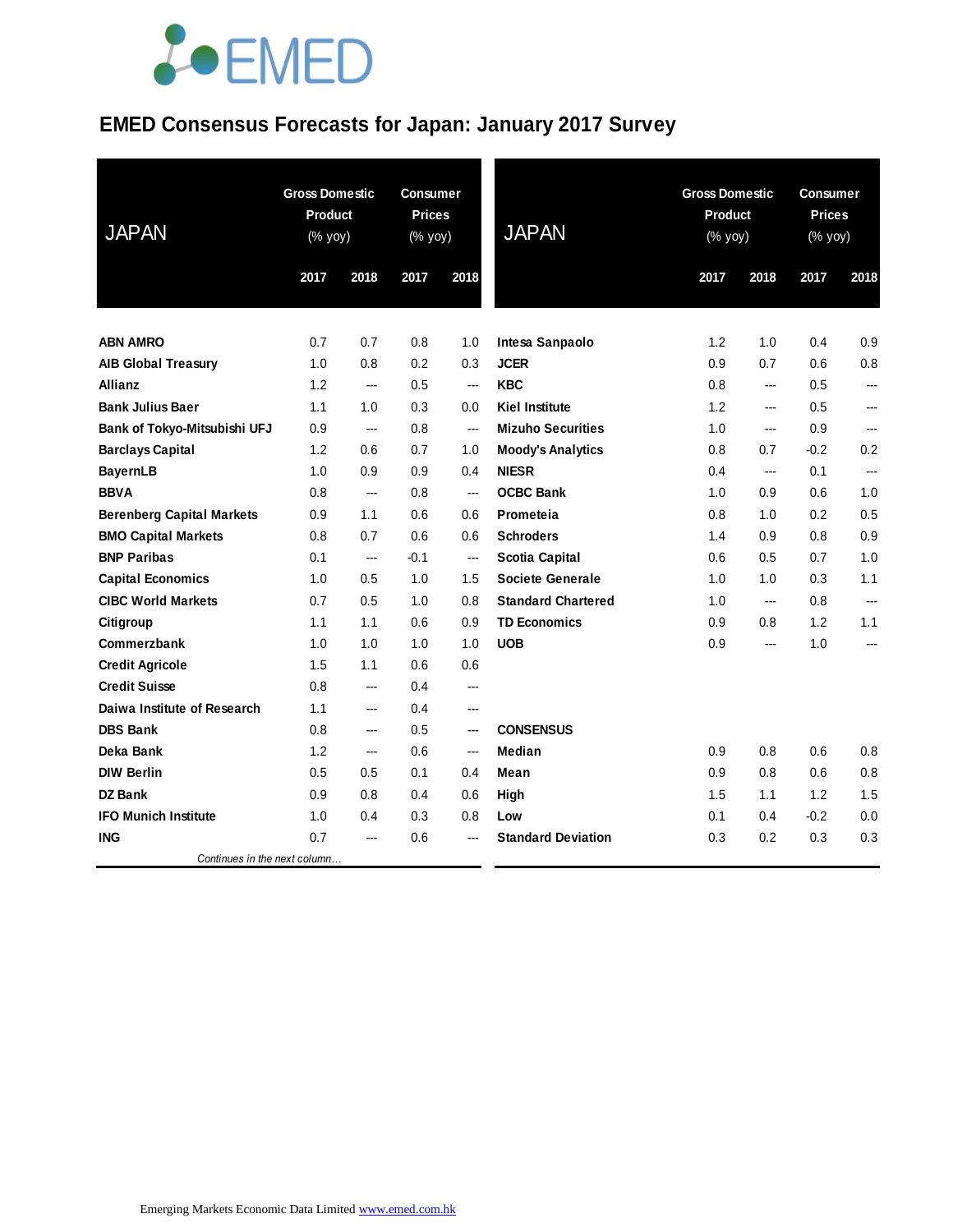### **EMED Consensus Forecasts for Japan: January 2017 Survey**

| <b>JAPAN</b>                     | <b>Gross Domestic</b><br><b>Product</b><br>(% yoy) |      | <b>Consumer</b><br><b>Prices</b><br>(% yoy) |      | <b>Gross Domestic</b><br>Product<br><b>JAPAN</b><br>$(% \mathsf{Y}^{\prime }\mathsf{Y}^{\prime }\mathsf{Y}^{\prime })$ |      |                          | <b>Consumer</b><br><b>Prices</b><br>(% yoy) |                |  |
|----------------------------------|----------------------------------------------------|------|---------------------------------------------|------|------------------------------------------------------------------------------------------------------------------------|------|--------------------------|---------------------------------------------|----------------|--|
|                                  | 2017                                               | 2018 | 2017                                        | 2018 |                                                                                                                        | 2017 | 2018                     | 2017                                        | 2018           |  |
|                                  |                                                    |      |                                             |      |                                                                                                                        |      |                          |                                             |                |  |
| <b>ABN AMRO</b>                  | 0.7                                                | 0.7  | 0.8                                         | 1.0  | Intesa Sanpaolo                                                                                                        | 1.2  | 1.0                      | 0.4                                         | 0.9            |  |
| <b>AIB Global Treasury</b>       | 1.0                                                | 0.8  | 0.2                                         | 0.3  | <b>JCER</b>                                                                                                            | 0.9  | 0.7                      | 0.6                                         | 0.8            |  |
| <b>Allianz</b>                   | 1.2                                                | ---  | 0.5                                         | ---  | <b>KBC</b>                                                                                                             | 0.8  | ---                      | 0.5                                         | ---            |  |
| <b>Bank Julius Baer</b>          | 1.1                                                | 1.0  | 0.3                                         | 0.0  | <b>Kiel Institute</b>                                                                                                  | 1.2  | ---                      | 0.5                                         |                |  |
| Bank of Tokyo-Mitsubishi UFJ     | 0.9                                                | ---  | 0.8                                         | ---  | <b>Mizuho Securities</b>                                                                                               | 1.0  | ---                      | 0.9                                         | ---            |  |
| <b>Barclays Capital</b>          | 1.2                                                | 0.6  | 0.7                                         | 1.0  | <b>Moody's Analytics</b>                                                                                               | 0.8  | 0.7                      | $-0.2$                                      | 0.2            |  |
| <b>BayernLB</b>                  | 1.0                                                | 0.9  | 0.9                                         | 0.4  | <b>NIESR</b>                                                                                                           | 0.4  | $\overline{\phantom{a}}$ | 0.1                                         | $\overline{a}$ |  |
| <b>BBVA</b>                      | 0.8                                                | ---  | 0.8                                         | ---  | <b>OCBC Bank</b>                                                                                                       | 1.0  | 0.9                      | 0.6                                         | 1.0            |  |
| <b>Berenberg Capital Markets</b> | 0.9                                                | 1.1  | 0.6                                         | 0.6  | Prometeia                                                                                                              | 0.8  | 1.0                      | 0.2                                         | 0.5            |  |
| <b>BMO Capital Markets</b>       | 0.8                                                | 0.7  | 0.6                                         | 0.6  | <b>Schroders</b>                                                                                                       | 1.4  | 0.9                      | 0.8                                         | 0.9            |  |
| <b>BNP Paribas</b>               | 0.1                                                | ---  | $-0.1$                                      | ---  | <b>Scotia Capital</b>                                                                                                  | 0.6  | 0.5                      | 0.7                                         | 1.0            |  |
| <b>Capital Economics</b>         | 1.0                                                | 0.5  | 1.0                                         | 1.5  | <b>Societe Generale</b>                                                                                                | 1.0  | 1.0                      | 0.3                                         | 1.1            |  |
| <b>CIBC World Markets</b>        | 0.7                                                | 0.5  | 1.0                                         | 0.8  | <b>Standard Chartered</b>                                                                                              | 1.0  | $\overline{\phantom{a}}$ | 0.8                                         | ---            |  |
| Citigroup                        | 1.1                                                | 1.1  | 0.6                                         | 0.9  | <b>TD Economics</b>                                                                                                    | 0.9  | 0.8                      | 1.2                                         | 1.1            |  |
| Commerzbank                      | 1.0                                                | 1.0  | 1.0                                         | 1.0  | <b>UOB</b>                                                                                                             | 0.9  | ---                      | 1.0                                         | ---            |  |
| <b>Credit Agricole</b>           | 1.5                                                | 1.1  | 0.6                                         | 0.6  |                                                                                                                        |      |                          |                                             |                |  |
| <b>Credit Suisse</b>             | 0.8                                                | ---  | 0.4                                         | ---  |                                                                                                                        |      |                          |                                             |                |  |
| Daiwa Institute of Research      | 1.1                                                | ---  | 0.4                                         | ---  |                                                                                                                        |      |                          |                                             |                |  |
| <b>DBS Bank</b>                  | 0.8                                                | ---  | 0.5                                         | ---  | <b>CONSENSUS</b>                                                                                                       |      |                          |                                             |                |  |
| Deka Bank                        | 1.2                                                | ---  | 0.6                                         | ---  | Median                                                                                                                 | 0.9  | 0.8                      | 0.6                                         | 0.8            |  |
| <b>DIW Berlin</b>                | 0.5                                                | 0.5  | 0.1                                         | 0.4  | Mean                                                                                                                   | 0.9  | 0.8                      | 0.6                                         | 0.8            |  |
| <b>DZ Bank</b>                   | 0.9                                                | 0.8  | 0.4                                         | 0.6  | High                                                                                                                   | 1.5  | 1.1                      | 1.2                                         | 1.5            |  |
| <b>IFO Munich Institute</b>      | 1.0                                                | 0.4  | 0.3                                         | 0.8  | Low                                                                                                                    | 0.1  | 0.4                      | $-0.2$                                      | 0.0            |  |
| <b>ING</b>                       | 0.7                                                | ---  | 0.6                                         |      | <b>Standard Deviation</b>                                                                                              | 0.3  | 0.2                      | 0.3                                         | 0.3            |  |
| Continues in the next column     |                                                    |      |                                             |      |                                                                                                                        |      |                          |                                             |                |  |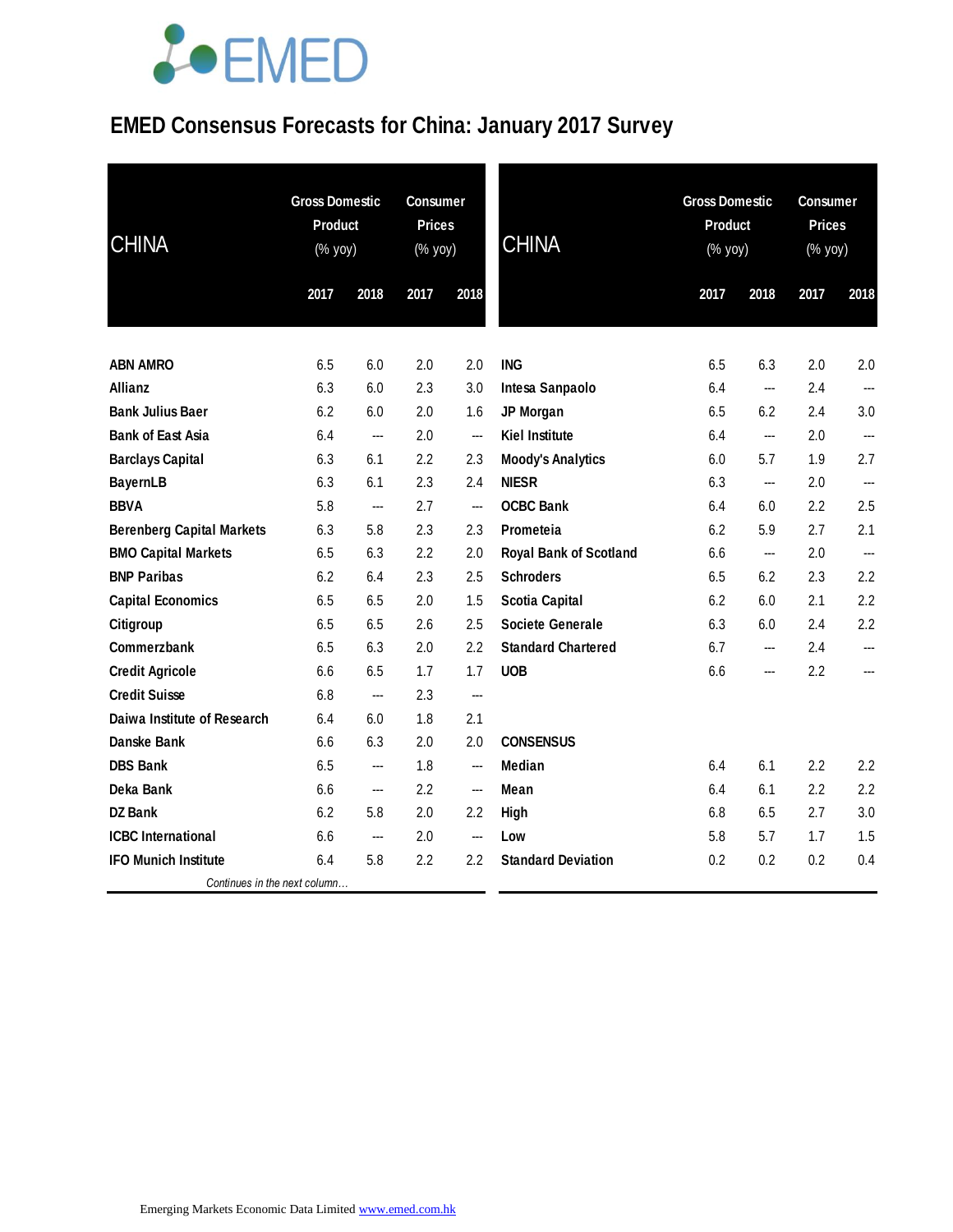### **EMED Consensus Forecasts for China: January 2017 Survey**

| <b>CHINA</b>                     | <b>Gross Domestic</b><br><b>Product</b><br>(% yoy) |      | <b>Consumer</b><br><b>Prices</b><br>(% yoy) |                          | <b>CHINA</b>                  | <b>Gross Domestic</b><br>Product<br>(% yoy) |                        | <b>Consumer</b><br><b>Prices</b><br>$(\%$ yoy) |                          |
|----------------------------------|----------------------------------------------------|------|---------------------------------------------|--------------------------|-------------------------------|---------------------------------------------|------------------------|------------------------------------------------|--------------------------|
|                                  | 2017                                               | 2018 | 2017                                        | 2018                     |                               | 2017                                        | 2018                   | 2017                                           | 2018                     |
| <b>ABN AMRO</b>                  | 6.5                                                | 6.0  | 2.0                                         | 2.0                      | <b>ING</b>                    | 6.5                                         | 6.3                    | 2.0                                            | 2.0                      |
| <b>Allianz</b>                   | 6.3                                                | 6.0  | 2.3                                         | 3.0                      | Intesa Sanpaolo               | 6.4                                         | ---                    | 2.4                                            |                          |
| <b>Bank Julius Baer</b>          | 6.2                                                | 6.0  | 2.0                                         | 1.6                      | JP Morgan                     | 6.5                                         | 6.2                    | 2.4                                            | 3.0                      |
| <b>Bank of East Asia</b>         | 6.4                                                | ---  | 2.0                                         | ---                      | <b>Kiel Institute</b>         | 6.4                                         | ---                    | 2.0                                            | ---                      |
| <b>Barclays Capital</b>          | 6.3                                                | 6.1  | 2.2                                         | 2.3                      | <b>Moody's Analytics</b>      | 6.0                                         | 5.7                    | 1.9                                            | 2.7                      |
| <b>BayernLB</b>                  | 6.3                                                | 6.1  | 2.3                                         | 2.4                      | <b>NIESR</b>                  | 6.3                                         | ---                    | 2.0                                            |                          |
| <b>BBVA</b>                      | 5.8                                                | ---  | 2.7                                         | ---                      | <b>OCBC Bank</b>              | 6.4                                         | 6.0                    | 2.2                                            | 2.5                      |
| <b>Berenberg Capital Markets</b> | 6.3                                                | 5.8  | 2.3                                         | 2.3                      | Prometeia                     | 6.2                                         | 5.9                    | 2.7                                            | 2.1                      |
| <b>BMO Capital Markets</b>       | 6.5                                                | 6.3  | 2.2                                         | 2.0                      | <b>Royal Bank of Scotland</b> | 6.6                                         | ---                    | 2.0                                            | $\overline{\phantom{a}}$ |
| <b>BNP Paribas</b>               | 6.2                                                | 6.4  | 2.3                                         | 2.5                      | <b>Schroders</b>              | 6.5                                         | 6.2                    | 2.3                                            | 2.2                      |
| <b>Capital Economics</b>         | 6.5                                                | 6.5  | 2.0                                         | 1.5                      | <b>Scotia Capital</b>         | 6.2                                         | 6.0                    | 2.1                                            | 2.2                      |
| Citigroup                        | 6.5                                                | 6.5  | 2.6                                         | 2.5                      | Societe Generale              | 6.3                                         | 6.0                    | 2.4                                            | 2.2                      |
| Commerzbank                      | 6.5                                                | 6.3  | 2.0                                         | 2.2                      | <b>Standard Chartered</b>     | 6.7                                         | ---                    | 2.4                                            |                          |
| <b>Credit Agricole</b>           | 6.6                                                | 6.5  | 1.7                                         | 1.7                      | <b>UOB</b>                    | 6.6                                         | $\qquad \qquad \cdots$ | 2.2                                            | ---                      |
| <b>Credit Suisse</b>             | 6.8                                                | ---  | 2.3                                         | ---                      |                               |                                             |                        |                                                |                          |
| Daiwa Institute of Research      | 6.4                                                | 6.0  | 1.8                                         | 2.1                      |                               |                                             |                        |                                                |                          |
| Danske Bank                      | 6.6                                                | 6.3  | 2.0                                         | 2.0                      | <b>CONSENSUS</b>              |                                             |                        |                                                |                          |
| <b>DBS Bank</b>                  | 6.5                                                | ---  | 1.8                                         | ---                      | Median                        | 6.4                                         | 6.1                    | 2.2                                            | 2.2                      |
| Deka Bank                        | 6.6                                                | ---  | 2.2                                         | $\hspace{0.05cm} \ldots$ | Mean                          | 6.4                                         | 6.1                    | 2.2                                            | 2.2                      |
| <b>DZ Bank</b>                   | 6.2                                                | 5.8  | 2.0                                         | 2.2                      | High                          | 6.8                                         | 6.5                    | 2.7                                            | 3.0                      |
| <b>ICBC</b> International        | 6.6                                                | ---  | 2.0                                         | ---                      | Low                           | 5.8                                         | 5.7                    | 1.7                                            | 1.5                      |
| <b>IFO Munich Institute</b>      | 6.4                                                | 5.8  | 2.2                                         | 2.2                      | <b>Standard Deviation</b>     | 0.2                                         | 0.2                    | 0.2                                            | 0.4                      |
| Continues in the next column     |                                                    |      |                                             |                          |                               |                                             |                        |                                                |                          |